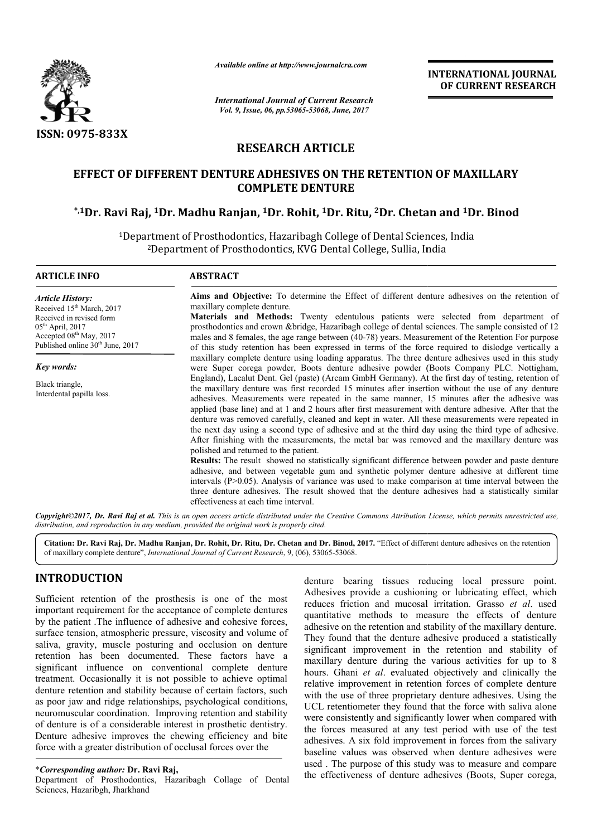

*Available online at http://www.journalcra.com*

# **RESEARCH ARTICLE**

# **EFFECT OF DIFFERENT DENTURE ADHESIVES ON THE RETENTION OF MAXILLARY**  EFFECT OF DIFFERENT DENTURE ADHESIVES ON THE RETENTION OF MAXILLARY<br>COMPLETE DENTURE<br><sup>1</sup>1Dr. Ravi Raj, <sup>1</sup>Dr. Madhu Ranjan, <sup>1</sup>Dr. Rohit, <sup>1</sup>Dr. Ritu, <sup>2</sup>Dr. Chetan and <sup>1</sup>Dr. Binod.\* **COMPLETE DENTURE**

|                                                                                                                                                                                                                                                                                                                                                                                                                                                                                                                                                                                                                                                                                                                                                                                                                                                                                                                                                                                                                                      | лтините опине иг пир.//www.journuicru.com                                                                                                                                                                                                                                                                                                                                                                                                                                                                                                                                                                                                                                                                                                                                                                                                                                                                                                                                                                                                                                                                                                                                                                                                    |                         | <b>INTERNATIONAL JOURNAL</b><br>OF CURRENT RESEARCH                                                                                                                                                                                                                                                                                                                                                                                                                                                                                                                                                                                                                                                                                                                                                                                                                                                                                                                                                                                                                                                                 |  |  |  |
|--------------------------------------------------------------------------------------------------------------------------------------------------------------------------------------------------------------------------------------------------------------------------------------------------------------------------------------------------------------------------------------------------------------------------------------------------------------------------------------------------------------------------------------------------------------------------------------------------------------------------------------------------------------------------------------------------------------------------------------------------------------------------------------------------------------------------------------------------------------------------------------------------------------------------------------------------------------------------------------------------------------------------------------|----------------------------------------------------------------------------------------------------------------------------------------------------------------------------------------------------------------------------------------------------------------------------------------------------------------------------------------------------------------------------------------------------------------------------------------------------------------------------------------------------------------------------------------------------------------------------------------------------------------------------------------------------------------------------------------------------------------------------------------------------------------------------------------------------------------------------------------------------------------------------------------------------------------------------------------------------------------------------------------------------------------------------------------------------------------------------------------------------------------------------------------------------------------------------------------------------------------------------------------------|-------------------------|---------------------------------------------------------------------------------------------------------------------------------------------------------------------------------------------------------------------------------------------------------------------------------------------------------------------------------------------------------------------------------------------------------------------------------------------------------------------------------------------------------------------------------------------------------------------------------------------------------------------------------------------------------------------------------------------------------------------------------------------------------------------------------------------------------------------------------------------------------------------------------------------------------------------------------------------------------------------------------------------------------------------------------------------------------------------------------------------------------------------|--|--|--|
|                                                                                                                                                                                                                                                                                                                                                                                                                                                                                                                                                                                                                                                                                                                                                                                                                                                                                                                                                                                                                                      | <b>International Journal of Current Research</b><br>Vol. 9, Issue, 06, pp.53065-53068, June, 2017                                                                                                                                                                                                                                                                                                                                                                                                                                                                                                                                                                                                                                                                                                                                                                                                                                                                                                                                                                                                                                                                                                                                            |                         |                                                                                                                                                                                                                                                                                                                                                                                                                                                                                                                                                                                                                                                                                                                                                                                                                                                                                                                                                                                                                                                                                                                     |  |  |  |
| <b>ISSN: 0975-833X</b>                                                                                                                                                                                                                                                                                                                                                                                                                                                                                                                                                                                                                                                                                                                                                                                                                                                                                                                                                                                                               | <b>RESEARCH ARTICLE</b>                                                                                                                                                                                                                                                                                                                                                                                                                                                                                                                                                                                                                                                                                                                                                                                                                                                                                                                                                                                                                                                                                                                                                                                                                      |                         |                                                                                                                                                                                                                                                                                                                                                                                                                                                                                                                                                                                                                                                                                                                                                                                                                                                                                                                                                                                                                                                                                                                     |  |  |  |
|                                                                                                                                                                                                                                                                                                                                                                                                                                                                                                                                                                                                                                                                                                                                                                                                                                                                                                                                                                                                                                      |                                                                                                                                                                                                                                                                                                                                                                                                                                                                                                                                                                                                                                                                                                                                                                                                                                                                                                                                                                                                                                                                                                                                                                                                                                              |                         |                                                                                                                                                                                                                                                                                                                                                                                                                                                                                                                                                                                                                                                                                                                                                                                                                                                                                                                                                                                                                                                                                                                     |  |  |  |
|                                                                                                                                                                                                                                                                                                                                                                                                                                                                                                                                                                                                                                                                                                                                                                                                                                                                                                                                                                                                                                      | EFFECT OF DIFFERENT DENTURE ADHESIVES ON THE RETENTION OF MAXILLARY                                                                                                                                                                                                                                                                                                                                                                                                                                                                                                                                                                                                                                                                                                                                                                                                                                                                                                                                                                                                                                                                                                                                                                          | <b>COMPLETE DENTURE</b> |                                                                                                                                                                                                                                                                                                                                                                                                                                                                                                                                                                                                                                                                                                                                                                                                                                                                                                                                                                                                                                                                                                                     |  |  |  |
|                                                                                                                                                                                                                                                                                                                                                                                                                                                                                                                                                                                                                                                                                                                                                                                                                                                                                                                                                                                                                                      | *,1Dr. Ravi Raj, 1Dr. Madhu Ranjan, 1Dr. Rohit, 1Dr. Ritu, 2Dr. Chetan and 1Dr. Binod                                                                                                                                                                                                                                                                                                                                                                                                                                                                                                                                                                                                                                                                                                                                                                                                                                                                                                                                                                                                                                                                                                                                                        |                         |                                                                                                                                                                                                                                                                                                                                                                                                                                                                                                                                                                                                                                                                                                                                                                                                                                                                                                                                                                                                                                                                                                                     |  |  |  |
|                                                                                                                                                                                                                                                                                                                                                                                                                                                                                                                                                                                                                                                                                                                                                                                                                                                                                                                                                                                                                                      | <sup>1</sup> Department of Prosthodontics, Hazaribagh College of Dental Sciences, India<br><sup>2</sup> Department of Prosthodontics, KVG Dental College, Sullia, India                                                                                                                                                                                                                                                                                                                                                                                                                                                                                                                                                                                                                                                                                                                                                                                                                                                                                                                                                                                                                                                                      |                         |                                                                                                                                                                                                                                                                                                                                                                                                                                                                                                                                                                                                                                                                                                                                                                                                                                                                                                                                                                                                                                                                                                                     |  |  |  |
| <b>ARTICLE INFO</b>                                                                                                                                                                                                                                                                                                                                                                                                                                                                                                                                                                                                                                                                                                                                                                                                                                                                                                                                                                                                                  | <b>ABSTRACT</b>                                                                                                                                                                                                                                                                                                                                                                                                                                                                                                                                                                                                                                                                                                                                                                                                                                                                                                                                                                                                                                                                                                                                                                                                                              |                         |                                                                                                                                                                                                                                                                                                                                                                                                                                                                                                                                                                                                                                                                                                                                                                                                                                                                                                                                                                                                                                                                                                                     |  |  |  |
| <b>Article History:</b><br>Received 15 <sup>th</sup> March, 2017<br>Received in revised form<br>05 <sup>th</sup> April, 2017<br>Accepted 08 <sup>th</sup> May, 2017<br>Published online 30 <sup>th</sup> June, 2017                                                                                                                                                                                                                                                                                                                                                                                                                                                                                                                                                                                                                                                                                                                                                                                                                  | Aims and Objective: To determine the Effect of different denture adhesives on the retention of<br>maxillary complete denture.<br>Materials and Methods: Twenty edentulous patients were selected from department of<br>prosthodontics and crown &bridge, Hazaribagh college of dental sciences. The sample consisted of 12<br>males and 8 females, the age range between (40-78) years. Measurement of the Retention For purpose<br>of this study retention has been expressed in terms of the force required to dislodge vertically a<br>maxillary complete denture using loading apparatus. The three denture adhesives used in this study                                                                                                                                                                                                                                                                                                                                                                                                                                                                                                                                                                                                 |                         |                                                                                                                                                                                                                                                                                                                                                                                                                                                                                                                                                                                                                                                                                                                                                                                                                                                                                                                                                                                                                                                                                                                     |  |  |  |
| Key words:                                                                                                                                                                                                                                                                                                                                                                                                                                                                                                                                                                                                                                                                                                                                                                                                                                                                                                                                                                                                                           |                                                                                                                                                                                                                                                                                                                                                                                                                                                                                                                                                                                                                                                                                                                                                                                                                                                                                                                                                                                                                                                                                                                                                                                                                                              |                         | were Super corega powder, Boots denture adhesive powder (Boots Company PLC. Nottigham,                                                                                                                                                                                                                                                                                                                                                                                                                                                                                                                                                                                                                                                                                                                                                                                                                                                                                                                                                                                                                              |  |  |  |
| Black triangle,<br>Interdental papilla loss.                                                                                                                                                                                                                                                                                                                                                                                                                                                                                                                                                                                                                                                                                                                                                                                                                                                                                                                                                                                         | England), Lacalut Dent. Gel (paste) (Arcam GmbH Germany). At the first day of testing, retention of<br>the maxillary denture was first recorded 15 minutes after insertion without the use of any denture<br>adhesives. Measurements were repeated in the same manner, 15 minutes after the adhesive was<br>applied (base line) and at 1 and 2 hours after first measurement with denture adhesive. After that the<br>denture was removed carefully, cleaned and kept in water. All these measurements were repeated in<br>the next day using a second type of adhesive and at the third day using the third type of adhesive.<br>After finishing with the measurements, the metal bar was removed and the maxillary denture was<br>polished and returned to the patient.<br><b>Results:</b> The result showed no statistically significant difference between powder and paste denture<br>adhesive, and between vegetable gum and synthetic polymer denture adhesive at different time<br>intervals $(P>0.05)$ . Analysis of variance was used to make comparison at time interval between the<br>three denture adhesives. The result showed that the denture adhesives had a statistically similar<br>effectiveness at each time interval. |                         |                                                                                                                                                                                                                                                                                                                                                                                                                                                                                                                                                                                                                                                                                                                                                                                                                                                                                                                                                                                                                                                                                                                     |  |  |  |
|                                                                                                                                                                                                                                                                                                                                                                                                                                                                                                                                                                                                                                                                                                                                                                                                                                                                                                                                                                                                                                      | distribution, and reproduction in any medium, provided the original work is properly cited.                                                                                                                                                                                                                                                                                                                                                                                                                                                                                                                                                                                                                                                                                                                                                                                                                                                                                                                                                                                                                                                                                                                                                  |                         | Copyright©2017, Dr. Ravi Raj et al. This is an open access article distributed under the Creative Commons Attribution License, which permits unrestricted use,                                                                                                                                                                                                                                                                                                                                                                                                                                                                                                                                                                                                                                                                                                                                                                                                                                                                                                                                                      |  |  |  |
|                                                                                                                                                                                                                                                                                                                                                                                                                                                                                                                                                                                                                                                                                                                                                                                                                                                                                                                                                                                                                                      | of maxillary complete denture", <i>International Journal of Current Research</i> , 9, (06), 53065-53068.                                                                                                                                                                                                                                                                                                                                                                                                                                                                                                                                                                                                                                                                                                                                                                                                                                                                                                                                                                                                                                                                                                                                     |                         | Citation: Dr. Ravi Raj, Dr. Madhu Ranjan, Dr. Rohit, Dr. Ritu, Dr. Chetan and Dr. Binod, 2017. "Effect of different denture adhesives on the retention                                                                                                                                                                                                                                                                                                                                                                                                                                                                                                                                                                                                                                                                                                                                                                                                                                                                                                                                                              |  |  |  |
| <b>INTRODUCTION</b>                                                                                                                                                                                                                                                                                                                                                                                                                                                                                                                                                                                                                                                                                                                                                                                                                                                                                                                                                                                                                  |                                                                                                                                                                                                                                                                                                                                                                                                                                                                                                                                                                                                                                                                                                                                                                                                                                                                                                                                                                                                                                                                                                                                                                                                                                              |                         | denture bearing tissues reducing local pressure point.                                                                                                                                                                                                                                                                                                                                                                                                                                                                                                                                                                                                                                                                                                                                                                                                                                                                                                                                                                                                                                                              |  |  |  |
| Sufficient retention of the prosthesis is one of the most<br>important requirement for the acceptance of complete dentures<br>by the patient .The influence of adhesive and cohesive forces,<br>surface tension, atmospheric pressure, viscosity and volume of<br>saliva, gravity, muscle posturing and occlusion on denture<br>retention has been documented. These factors have a<br>significant influence on conventional complete denture<br>treatment. Occasionally it is not possible to achieve optimal<br>denture retention and stability because of certain factors, such<br>as poor jaw and ridge relationships, psychological conditions,<br>neuromuscular coordination. Improving retention and stability<br>of denture is of a considerable interest in prosthetic dentistry.<br>Denture adhesive improves the chewing efficiency and bite<br>force with a greater distribution of occlusal forces over the<br><i>*Corresponding author: Dr. Ravi Raj,</i><br>Department of Prosthodontics Hazaribagh Collage of Deptal |                                                                                                                                                                                                                                                                                                                                                                                                                                                                                                                                                                                                                                                                                                                                                                                                                                                                                                                                                                                                                                                                                                                                                                                                                                              |                         | Adhesives provide a cushioning or lubricating effect, which<br>reduces friction and mucosal irritation. Grasso et al. used<br>quantitative methods to measure the effects of denture<br>adhesive on the retention and stability of the maxillary denture.<br>They found that the denture adhesive produced a statistically<br>significant improvement in the retention and stability of<br>maxillary denture during the various activities for up to 8<br>hours. Ghani et al. evaluated objectively and clinically the<br>relative improvement in retention forces of complete denture<br>with the use of three proprietary denture adhesives. Using the<br>UCL retentiometer they found that the force with saliva alone<br>were consistently and significantly lower when compared with<br>the forces measured at any test period with use of the test<br>adhesives. A six fold improvement in forces from the salivary<br>baseline values was observed when denture adhesives were<br>used. The purpose of this study was to measure and compare<br>the effectiveness of denture adhesives (Boots, Super corega, |  |  |  |

## **INTRODUCTION**

Department of Prosthodontics, Hazaribagh Collage of Dental Sciences, Hazaribgh, Jharkhand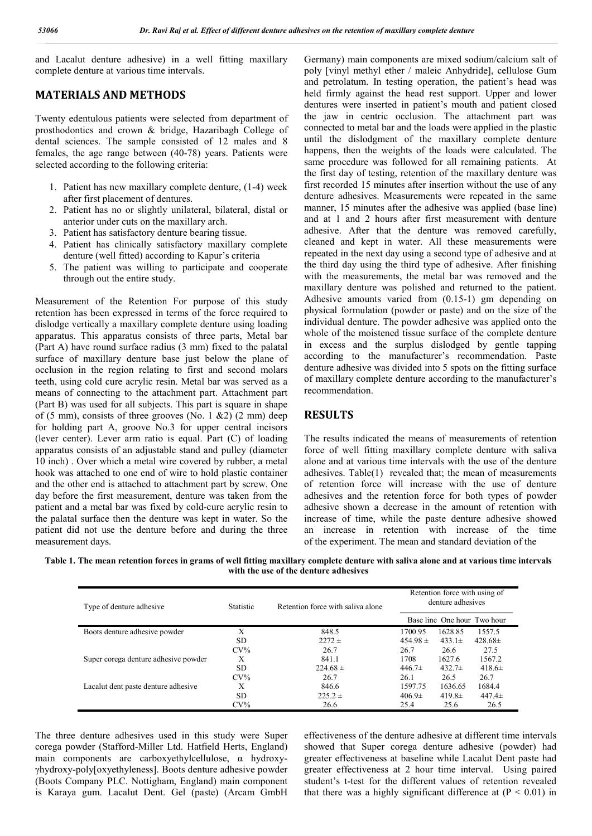and Lacalut denture adhesive) in a well fitting maxillary complete denture at various time intervals.

### **MATERIALS AND METHODS**

Twenty edentulous patients were selected from department of prosthodontics and crown & bridge, Hazaribagh College of dental sciences. The sample consisted of 12 males and 8 females, the age range between (40-78) years. Patients were selected according to the following criteria:

- 1. Patient has new maxillary complete denture, (1-4) week after first placement of dentures.
- 2. Patient has no or slightly unilateral, bilateral, distal or anterior under cuts on the maxillary arch.
- 3. Patient has satisfactory denture bearing tissue.
- 4. Patient has clinically satisfactory maxillary complete denture (well fitted) according to Kapur's criteria
- 5. The patient was willing to participate and cooperate through out the entire study.

Measurement of the Retention For purpose of this study retention has been expressed in terms of the force required to dislodge vertically a maxillary complete denture using loading apparatus. This apparatus consists of three parts, Metal bar (Part A) have round surface radius (3 mm) fixed to the palatal surface of maxillary denture base just below the plane of occlusion in the region relating to first and second molars teeth, using cold cure acrylic resin. Metal bar was served as a means of connecting to the attachment part. Attachment part (Part B) was used for all subjects. This part is square in shape of (5 mm), consists of three grooves (No. 1  $\&2$ ) (2 mm) deep for holding part A, groove No.3 for upper central incisors (lever center). Lever arm ratio is equal. Part (C) of loading apparatus consists of an adjustable stand and pulley (diameter 10 inch) . Over which a metal wire covered by rubber, a metal hook was attached to one end of wire to hold plastic container and the other end is attached to attachment part by screw. One day before the first measurement, denture was taken from the patient and a metal bar was fixed by cold-cure acrylic resin to the palatal surface then the denture was kept in water. So the patient did not use the denture before and during the three measurement days.

Germany) main components are mixed sodium/calcium salt of poly [vinyl methyl ether / maleic Anhydride], cellulose Gum and petrolatum. In testing operation, the patient's head was held firmly against the head rest support. Upper and lower dentures were inserted in patient's mouth and patient closed the jaw in centric occlusion. The attachment part was connected to metal bar and the loads were applied in the plastic until the dislodgment of the maxillary complete denture happens, then the weights of the loads were calculated. The same procedure was followed for all remaining patients. At the first day of testing, retention of the maxillary denture was first recorded 15 minutes after insertion without the use of any denture adhesives. Measurements were repeated in the same manner, 15 minutes after the adhesive was applied (base line) and at 1 and 2 hours after first measurement with denture adhesive. After that the denture was removed carefully, cleaned and kept in water. All these measurements were repeated in the next day using a second type of adhesive and at the third day using the third type of adhesive. After finishing with the measurements, the metal bar was removed and the maxillary denture was polished and returned to the patient. Adhesive amounts varied from (0.15-1) gm depending on physical formulation (powder or paste) and on the size of the individual denture. The powder adhesive was applied onto the whole of the moistened tissue surface of the complete denture in excess and the surplus dislodged by gentle tapping according to the manufacturer's recommendation. Paste denture adhesive was divided into 5 spots on the fitting surface of maxillary complete denture according to the manufacturer's recommendation.

### **RESULTS**

The results indicated the means of measurements of retention force of well fitting maxillary complete denture with saliva alone and at various time intervals with the use of the denture adhesives. Table(1) revealed that; the mean of measurements of retention force will increase with the use of denture adhesives and the retention force for both types of powder adhesive shown a decrease in the amount of retention with increase of time, while the paste denture adhesive showed an increase in retention with increase of the time of the experiment. The mean and standard deviation of the

**Table 1. The mean retention forces in grams of well fitting maxillary complete denture with saliva alone and at various time intervals with the use of the denture adhesives**

| Type of denture adhesive             | <b>Statistic</b> | Retention force with saliva alone | Retention force with using of<br>denture adhesives |             |                             |
|--------------------------------------|------------------|-----------------------------------|----------------------------------------------------|-------------|-----------------------------|
|                                      |                  |                                   |                                                    |             | Base line One hour Two hour |
| Boots denture adhesive powder        | X                | 848.5                             | 1700.95                                            | 1628.85     | 1557.5                      |
|                                      | SD.              | $2272 \pm$                        | $454.98 \pm$                                       | $433.1\pm$  | $428.68\pm$                 |
|                                      | $CV\%$           | 26.7                              | 26.7                                               | 26.6        | 27.5                        |
| Super corega denture adhesive powder | Х                | 841.1                             | 1708                                               | 1627.6      | 1567.2                      |
|                                      | SD.              | $224.68 \pm$                      | $446.7\pm$                                         | 432.7 $\pm$ | 418.6 $\pm$                 |
|                                      | $CV\%$           | 26.7                              | 26.1                                               | 26.5        | 26.7                        |
| Lacalut dent paste denture adhesive  | X                | 846.6                             | 1597.75                                            | 1636.65     | 1684.4                      |
|                                      | <b>SD</b>        | $225.2 \pm$                       | $406.9\pm$                                         | 419.8 $\pm$ | $447.4\pm$                  |
|                                      | $CV\%$           | 26.6                              | 25.4                                               | 25.6        | 26.5                        |

The three denture adhesives used in this study were Super corega powder (Stafford-Miller Ltd. Hatfield Herts, England) main components are carboxyethylcellulose, α hydroxyγhydroxy-poly[oxyethyleness]. Boots denture adhesive powder (Boots Company PLC. Nottigham, England) main component is Karaya gum. Lacalut Dent. Gel (paste) (Arcam GmbH

effectiveness of the denture adhesive at different time intervals showed that Super corega denture adhesive (powder) had greater effectiveness at baseline while Lacalut Dent paste had greater effectiveness at 2 hour time interval. Using paired student's t-test for the different values of retention revealed that there was a highly significant difference at  $(P < 0.01)$  in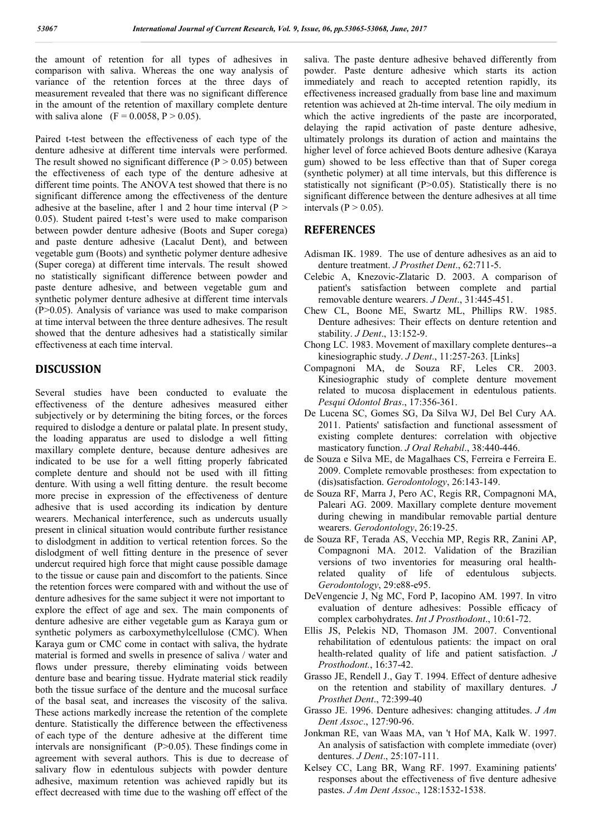the amount of retention for all types of adhesives in comparison with saliva. Whereas the one way analysis of variance of the retention forces at the three days of measurement revealed that there was no significant difference in the amount of the retention of maxillary complete denture with saliva alone (F = 0.0058, P > 0.05).

Paired t-test between the effectiveness of each type of the denture adhesive at different time intervals were performed. The result showed no significant difference  $(P > 0.05)$  between the effectiveness of each type of the denture adhesive at different time points. The ANOVA test showed that there is no significant difference among the effectiveness of the denture adhesive at the baseline, after 1 and 2 hour time interval  $(P >$ 0.05). Student paired t-test's were used to make comparison between powder denture adhesive (Boots and Super corega) and paste denture adhesive (Lacalut Dent), and between vegetable gum (Boots) and synthetic polymer denture adhesive (Super corega) at different time intervals. The result showed no statistically significant difference between powder and paste denture adhesive, and between vegetable gum and synthetic polymer denture adhesive at different time intervals (P>0.05). Analysis of variance was used to make comparison at time interval between the three denture adhesives. The result showed that the denture adhesives had a statistically similar effectiveness at each time interval.

### **DISCUSSION**

Several studies have been conducted to evaluate the effectiveness of the denture adhesives measured either subjectively or by determining the biting forces, or the forces required to dislodge a denture or palatal plate. In present study, the loading apparatus are used to dislodge a well fitting maxillary complete denture, because denture adhesives are indicated to be use for a well fitting properly fabricated complete denture and should not be used with ill fitting denture. With using a well fitting denture. the result become more precise in expression of the effectiveness of denture adhesive that is used according its indication by denture wearers. Mechanical interference, such as undercuts usually present in clinical situation would contribute further resistance to dislodgment in addition to vertical retention forces. So the dislodgment of well fitting denture in the presence of sever undercut required high force that might cause possible damage to the tissue or cause pain and discomfort to the patients. Since the retention forces were compared with and without the use of denture adhesives for the same subject it were not important to explore the effect of age and sex. The main components of denture adhesive are either vegetable gum as Karaya gum or synthetic polymers as carboxymethylcellulose (CMC). When Karaya gum or CMC come in contact with saliva, the hydrate material is formed and swells in presence of saliva / water and flows under pressure, thereby eliminating voids between denture base and bearing tissue. Hydrate material stick readily both the tissue surface of the denture and the mucosal surface of the basal seat, and increases the viscosity of the saliva. These actions markedly increase the retention of the complete denture. Statistically the difference between the effectiveness of each type of the denture adhesive at the different time intervals are nonsignificant  $(P>0.05)$ . These findings come in agreement with several authors. This is due to decrease of salivary flow in edentulous subjects with powder denture adhesive, maximum retention was achieved rapidly but its effect decreased with time due to the washing off effect of the

saliva. The paste denture adhesive behaved differently from powder. Paste denture adhesive which starts its action immediately and reach to accepted retention rapidly, its effectiveness increased gradually from base line and maximum retention was achieved at 2h-time interval. The oily medium in which the active ingredients of the paste are incorporated, delaying the rapid activation of paste denture adhesive, ultimately prolongs its duration of action and maintains the higher level of force achieved Boots denture adhesive (Karaya gum) showed to be less effective than that of Super corega (synthetic polymer) at all time intervals, but this difference is statistically not significant (P>0.05). Statistically there is no significant difference between the denture adhesives at all time intervals ( $P > 0.05$ ).

#### **REFERENCES**

- Adisman IK. 1989. The use of denture adhesives as an aid to denture treatment. *J Prosthet Dent*., 62:711-5.
- Celebic A, Knezovic-Zlataric D. 2003. A comparison of patient's satisfaction between complete and partial removable denture wearers. *J Dent*., 31:445-451.
- Chew CL, Boone ME, Swartz ML, Phillips RW. 1985. Denture adhesives: Their effects on denture retention and stability. *J Dent*., 13:152-9.
- Chong LC. 1983. Movement of maxillary complete dentures--a kinesiographic study. *J Dent*., 11:257-263. [Links]
- Compagnoni MA, de Souza RF, Leles CR. 2003. Kinesiographic study of complete denture movement related to mucosa displacement in edentulous patients. *Pesqui Odontol Bras*., 17:356-361.
- De Lucena SC, Gomes SG, Da Silva WJ, Del Bel Cury AA. 2011. Patients' satisfaction and functional assessment of existing complete dentures: correlation with objective masticatory function. *J Oral Rehabil*., 38:440-446.
- de Souza e Silva ME, de Magalhaes CS, Ferreira e Ferreira E. 2009. Complete removable prostheses: from expectation to (dis)satisfaction. *Gerodontology*, 26:143-149.
- de Souza RF, Marra J, Pero AC, Regis RR, Compagnoni MA, Paleari AG. 2009. Maxillary complete denture movement during chewing in mandibular removable partial denture wearers. *Gerodontology*, 26:19-25.
- de Souza RF, Terada AS, Vecchia MP, Regis RR, Zanini AP, Compagnoni MA. 2012. Validation of the Brazilian versions of two inventories for measuring oral healthrelated quality of life of edentulous subjects. *Gerodontology*, 29:e88-e95.
- DeVengencie J, Ng MC, Ford P, Iacopino AM. 1997. In vitro evaluation of denture adhesives: Possible efficacy of complex carbohydrates. *Int J Prosthodont*., 10:61-72.
- Ellis JS, Pelekis ND, Thomason JM. 2007. Conventional rehabilitation of edentulous patients: the impact on oral health-related quality of life and patient satisfaction. *J Prosthodont.*, 16:37-42.
- Grasso JE, Rendell J., Gay T. 1994. Effect of denture adhesive on the retention and stability of maxillary dentures. *J Prosthet Dent*., 72:399-40
- Grasso JE. 1996. Denture adhesives: changing attitudes. *J Am Dent Assoc*., 127:90-96.
- Jonkman RE, van Waas MA, van 't Hof MA, Kalk W. 1997. An analysis of satisfaction with complete immediate (over) dentures. *J Dent*., 25:107-111.
- Kelsey CC, Lang BR, Wang RF. 1997. Examining patients' responses about the effectiveness of five denture adhesive pastes. *J Am Dent Assoc*., 128:1532-1538.